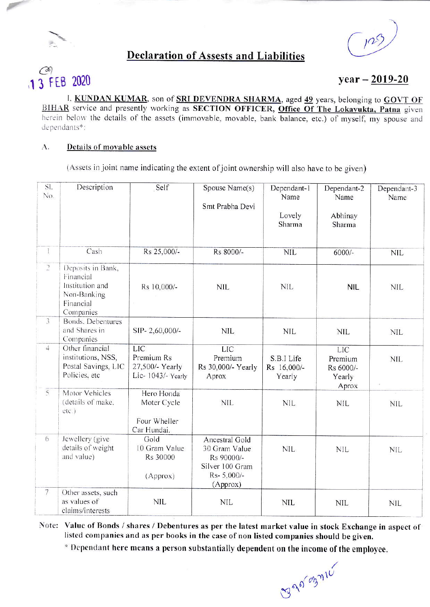

## **Declaration of Assests and Liabilities**

 $103$ 

# 1 3 FEB 2020

## $year - 2019-20$

I, KUNDAN KUMAR, son of SRI DEVENDRA SHARMA, aged 49 years, belonging to GOVT OF BIHAR service and presently working as SECTION OFFICER, Office Of The Lokayukta, Patna given herein below the details of the assets (immovable, movable, bank balance, etc.) of myself, my spouse and dependants\*:

#### A. Details of movable assets

(Assets in joint name indicating the extent of joint ownership will also have to be given)

| SI.<br>No.     | Description                                                                                | Self                                                             | Spouse Name(s)<br>Smt Prabha Devi                                                           | Dependant-1<br>Name<br>Lovely<br>Sharma | Dependant-2<br>Name<br>Abhinay<br>Sharma              | Dependant-3<br>Name |
|----------------|--------------------------------------------------------------------------------------------|------------------------------------------------------------------|---------------------------------------------------------------------------------------------|-----------------------------------------|-------------------------------------------------------|---------------------|
| Ī.             | Cash                                                                                       | Rs 25,000/-                                                      | Rs 8000/-                                                                                   | <b>NIL</b>                              | $6000/-$                                              | <b>NIL</b>          |
| $\supseteq$    | Deposits in Bank,<br>Financial<br>Institution and<br>Non-Banking<br>Financial<br>Companies | Rs 10,000/-                                                      | <b>NIL</b>                                                                                  | <b>NIL</b>                              | <b>NIL</b>                                            | <b>NIL</b>          |
| $\overline{3}$ | <b>Bonds. Debentures</b><br>and Shares in<br>Companies                                     | SIP-2,60,000/-                                                   | <b>NIL</b>                                                                                  | <b>NIL</b>                              | <b>NIL</b>                                            | <b>NIL</b>          |
| $\overline{4}$ | Other financial<br>institutions, NSS,<br>Postal Savings, LIC<br>Policies, etc              | <b>LIC</b><br>Premium Rs<br>27,500/- Yearly<br>Lic-1043/- Yearly | <b>LIC</b><br>Premium<br>Rs 30,000/- Yearly<br>Aprox                                        | S.B.I Life<br>Rs 16,000/-<br>Yearly     | <b>LIC</b><br>Premium<br>Rs 6000/-<br>Yearly<br>Aprox | <b>NIL</b>          |
| $\overline{5}$ | Motor Vehicles<br>(details of make,<br>etc.)                                               | Hero Honda<br>Moter Cycle<br>Four Wheller<br>Car Hundai.         | <b>NIL</b>                                                                                  | <b>NIL</b>                              | NIL                                                   | <b>NIL</b>          |
| 6              | Jewellery (give<br>details of weight<br>and value)                                         | Gold<br>10 Gram Value<br>Rs 30000<br>(Approx)                    | Ancestral Gold<br>30 Gram Value<br>Rs 90000/-<br>Silver 100 Gram<br>Rs- 5,000/-<br>(Approx) | <b>NIL</b>                              | <b>NIL</b>                                            | <b>NIL</b>          |
| $\overline{7}$ | Other assets, such<br>as values of<br>claims/interests                                     | <b>NIL</b>                                                       | <b>NIL</b>                                                                                  | <b>NIL</b>                              | <b>NIL</b>                                            | <b>NIL</b>          |

Note: Value of Bonds / shares / Debentures as per the latest market value in stock Exchange in aspect of listed companies and as per books in the case of non listed companies should be given.

\* Dependant here means a person substantially dependent on the income of the employee.

BROTOZYNE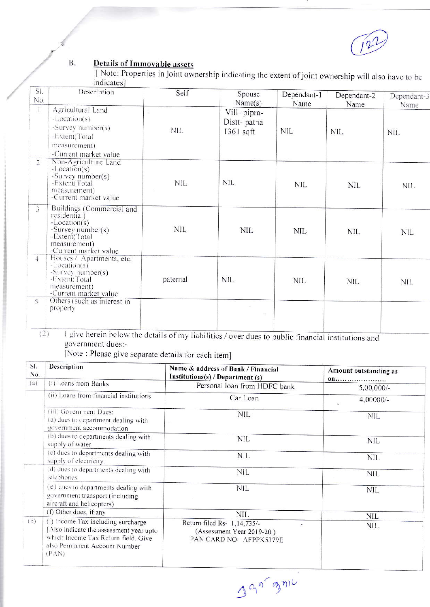### $\mathbf{B}.$ **Details of Immovable assets**

[Note: Properties in joint ownership indicating the extent of joint ownership will also have to be indicates]

| SI.<br>No.     | Description                                                                                                                                    | Self       | Spouse<br>Name(s)                        | Dependant-1<br>Name | Dependant-2<br>Name | Dependant-3<br>Name |
|----------------|------------------------------------------------------------------------------------------------------------------------------------------------|------------|------------------------------------------|---------------------|---------------------|---------------------|
|                | Agricultural Land<br>-Location(s)<br>-Survey number(s)<br>-Extent(Total<br>measurement)<br>-Current market value                               | 痘<br>NIL.  | Vill-pipra-<br>Distt- patna<br>1361 sqft | <b>NIL</b>          | <b>NIL</b>          | <b>NIL</b>          |
| $\overline{2}$ | Non-Agriculture Land<br>$-Location(s)$<br>-Survey number(s)<br>-Extent(Total<br>measurement)<br>-Current market value                          | NIL        | <b>NIL</b>                               | NIL                 | <b>NIL</b>          | NIL.                |
| 3              | Buildings (Commercial and<br>residential)<br>$-Location(s)$<br>-Survey number( $s$ )<br>-Extent(Total<br>measurement)<br>-Current market value | <b>NIL</b> | <b>NIL</b>                               | <b>NIL</b>          | <b>NIL</b>          | <b>NIL</b>          |
| $\frac{1}{2}$  | Houses / Apartments, etc.<br>$-Location(s)$<br>-Survey number(s)<br>-Extent(Total<br>measurement)<br>-Current market value                     | paternal   | <b>NIL</b>                               | <b>NIL</b>          | <b>NIL</b>          | <b>NIL</b>          |
| $\sim$         | Others (such as interest in<br>property                                                                                                        |            |                                          |                     |                     |                     |

I give herein below the details of my liabilities / over dues to public financial institutions and  $(2)$ government dues:-

[Note : Please give separate details for each item]

| Description                                                                                                              | Name & address of Bank / Financial                                                  | Amount outstanding as<br>on      |  |
|--------------------------------------------------------------------------------------------------------------------------|-------------------------------------------------------------------------------------|----------------------------------|--|
|                                                                                                                          | Personal loan from HDFC bank                                                        | $5,00,000/-$                     |  |
| (ii) Loans from financial institutions                                                                                   | Car Loan                                                                            | $4,00000/-$                      |  |
| (iii) Government Dues:<br>(a) dues to department dealing with<br>government accommodation                                | <b>NIL</b>                                                                          | <b>NIL</b>                       |  |
| (b) dues to departments dealing with<br>supply of water                                                                  | <b>NIL</b>                                                                          | <b>NIL</b>                       |  |
| (c) dues to departments dealing with<br>supply of electricity                                                            | <b>NIL</b>                                                                          | <b>NIL</b>                       |  |
| (d) dues to departments dealing with<br>telephones                                                                       | <b>NIL</b>                                                                          | <b>NIL</b>                       |  |
| (e) dues to departments dealing with<br>government transport (including<br>aircraft and helicopters)                     | <b>NIL</b>                                                                          | <b>NIL</b>                       |  |
| (f) Other dues, if any                                                                                                   | <b>NIL</b>                                                                          | <b>NIL</b>                       |  |
| [Also indicate the assessment year upto<br>which Income Tax Return field. Give<br>also Permanent Account Number<br>(PAN) | Return filed Rs- 1,14,735/-<br>(Assessment Year 2019-20)<br>PAN CARD NO- AFPPK5379E | <b>NIL</b>                       |  |
|                                                                                                                          | (i) Loans from Banks<br>(i) Income Tax including surcharge                          | Institutions(s) / Department (s) |  |

390 gnic